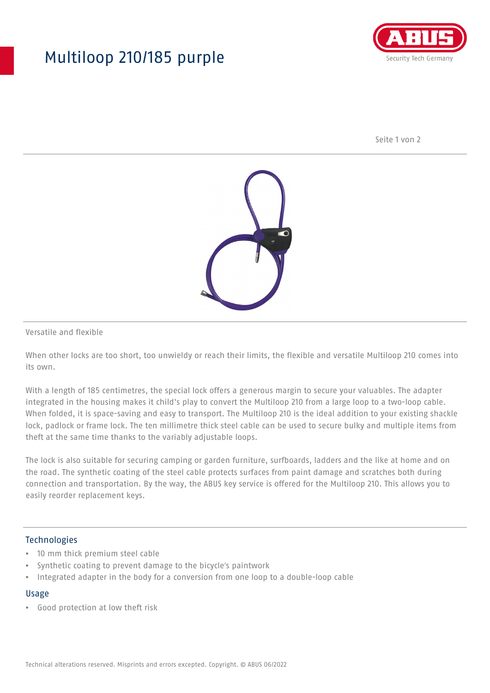## Multiloop 210/185 purple



Seite 1 von 2



Versatile and flexible

When other locks are too short, too unwieldy or reach their limits, the flexible and versatile Multiloop 210 comes into its own.

With a length of 185 centimetres, the special lock offers a generous margin to secure your valuables. The adapter integrated in the housing makes it child's play to convert the Multiloop 210 from a large loop to a two-loop cable. When folded, it is space-saving and easy to transport. The Multiloop 210 is the ideal addition to your existing shackle lock, padlock or frame lock. The ten millimetre thick steel cable can be used to secure bulky and multiple items from theft at the same time thanks to the variably adjustable loops.

The lock is also suitable for securing camping or garden furniture, surfboards, ladders and the like at home and on the road. The synthetic coating of the steel cable protects surfaces from paint damage and scratches both during connection and transportation. By the way, the ABUS key service is offered for the Multiloop 210. This allows you to easily reorder replacement keys.

### Technologies

- 10 mm thick premium steel cable
- Synthetic coating to prevent damage to the bicycle's paintwork
- Integrated adapter in the body for a conversion from one loop to a double-loop cable

#### Usage

• Good protection at low theft risk